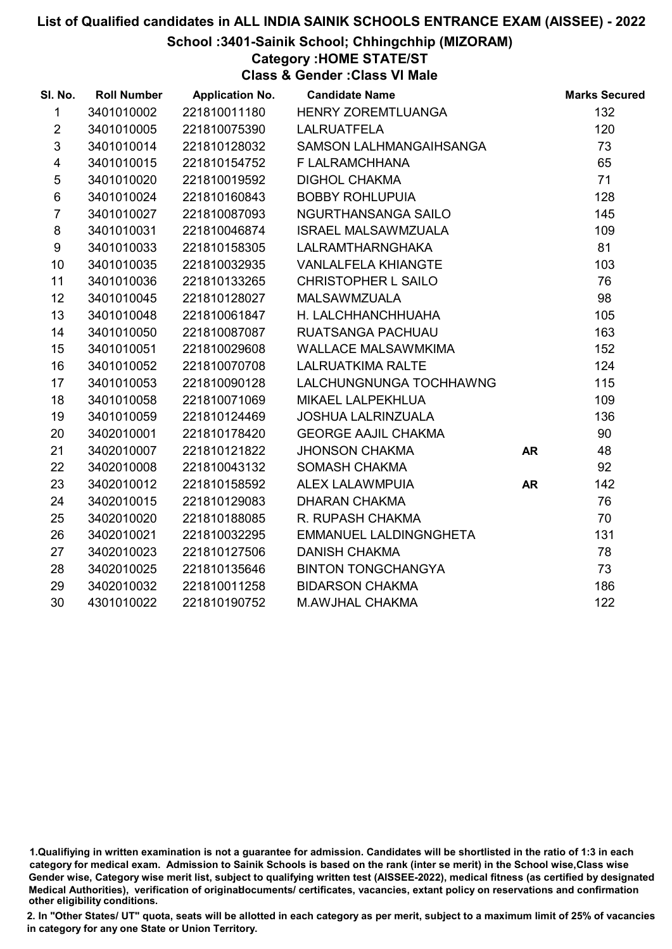#### School :3401-Sainik School; Chhingchhip (MIZORAM)

#### Category :HOME STATE/ST

Class & Gender :Class VI Male

| SI. No.                 | <b>Roll Number</b> | <b>Application No.</b> | <b>Candidate Name</b>      |           | <b>Marks Secured</b> |
|-------------------------|--------------------|------------------------|----------------------------|-----------|----------------------|
| $\mathbf{1}$            | 3401010002         | 221810011180           | <b>HENRY ZOREMTLUANGA</b>  |           | 132                  |
| $\overline{2}$          | 3401010005         | 221810075390           | <b>LALRUATFELA</b>         |           | 120                  |
| 3                       | 3401010014         | 221810128032           | SAMSON LALHMANGAIHSANGA    |           | 73                   |
| $\overline{\mathbf{4}}$ | 3401010015         | 221810154752           | F LALRAMCHHANA             |           | 65                   |
| $\sqrt{5}$              | 3401010020         | 221810019592           | <b>DIGHOL CHAKMA</b>       |           | 71                   |
| $\,6$                   | 3401010024         | 221810160843           | <b>BOBBY ROHLUPUIA</b>     |           | 128                  |
| $\overline{7}$          | 3401010027         | 221810087093           | NGURTHANSANGA SAILO        |           | 145                  |
| 8                       | 3401010031         | 221810046874           | <b>ISRAEL MALSAWMZUALA</b> |           | 109                  |
| 9                       | 3401010033         | 221810158305           | <b>LALRAMTHARNGHAKA</b>    |           | 81                   |
| 10 <sup>1</sup>         | 3401010035         | 221810032935           | <b>VANLALFELA KHIANGTE</b> |           | 103                  |
| 11                      | 3401010036         | 221810133265           | CHRISTOPHER L SAILO        |           | 76                   |
| 12                      | 3401010045         | 221810128027           | <b>MALSAWMZUALA</b>        |           | 98                   |
| 13                      | 3401010048         | 221810061847           | H. LALCHHANCHHUAHA         |           | 105                  |
| 14                      | 3401010050         | 221810087087           | RUATSANGA PACHUAU          |           | 163                  |
| 15                      | 3401010051         | 221810029608           | <b>WALLACE MALSAWMKIMA</b> |           | 152                  |
| 16                      | 3401010052         | 221810070708           | <b>LALRUATKIMA RALTE</b>   |           | 124                  |
| 17                      | 3401010053         | 221810090128           | LALCHUNGNUNGA TOCHHAWNG    |           | 115                  |
| 18                      | 3401010058         | 221810071069           | MIKAEL LALPEKHLUA          |           | 109                  |
| 19                      | 3401010059         | 221810124469           | <b>JOSHUA LALRINZUALA</b>  |           | 136                  |
| 20                      | 3402010001         | 221810178420           | <b>GEORGE AAJIL CHAKMA</b> |           | 90                   |
| 21                      | 3402010007         | 221810121822           | <b>JHONSON CHAKMA</b>      | <b>AR</b> | 48                   |
| 22                      | 3402010008         | 221810043132           | SOMASH CHAKMA              |           | 92                   |
| 23                      | 3402010012         | 221810158592           | ALEX LALAWMPUIA            | <b>AR</b> | 142                  |
| 24                      | 3402010015         | 221810129083           | <b>DHARAN CHAKMA</b>       |           | 76                   |
| 25                      | 3402010020         | 221810188085           | R. RUPASH CHAKMA           |           | 70                   |
| 26                      | 3402010021         | 221810032295           | EMMANUEL LALDINGNGHETA     |           | 131                  |
| 27                      | 3402010023         | 221810127506           | <b>DANISH CHAKMA</b>       |           | 78                   |
| 28                      | 3402010025         | 221810135646           | <b>BINTON TONGCHANGYA</b>  |           | 73                   |
| 29                      | 3402010032         | 221810011258           | <b>BIDARSON CHAKMA</b>     |           | 186                  |
| 30                      | 4301010022         | 221810190752           | <b>M.AWJHAL CHAKMA</b>     |           | 122                  |

<sup>1.</sup>Qualifiying in written examination is not a guarantee for admission. Candidates will be shortlisted in the ratio of 1:3 in each category for medical exam. Admission to Sainik Schools is based on the rank (inter se merit) in the School wise,Class wise Gender wise, Category wise merit list, subject to qualifying written test (AISSEE-2022), medical fitness (as certified by designated Medical Authorities), verification of originablocuments/ certificates, vacancies, extant policy on reservations and confirmation other eligibility conditions.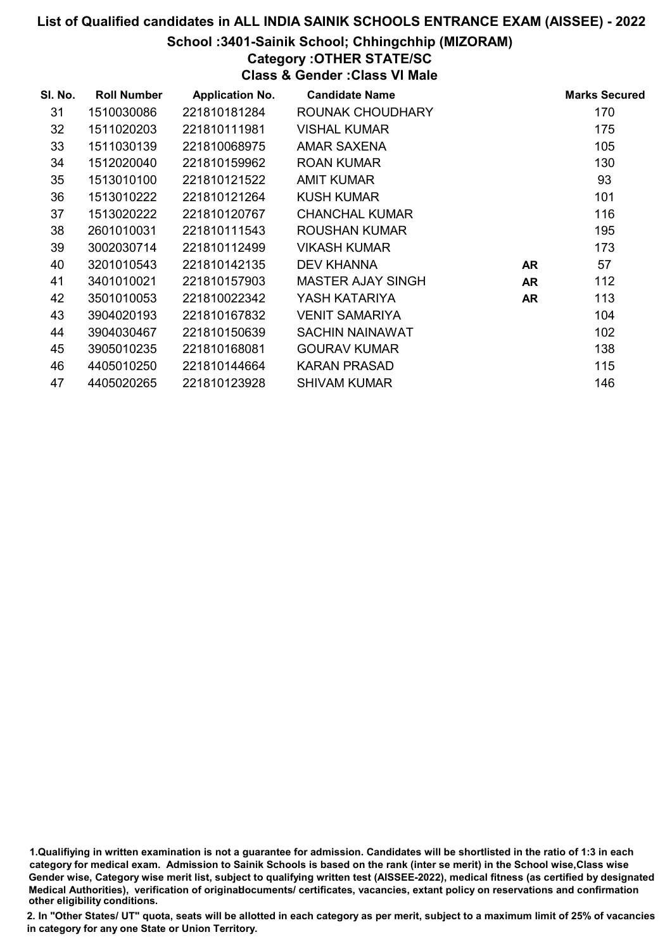#### School :3401-Sainik School; Chhingchhip (MIZORAM)

## Category :OTHER STATE/SC

Class & Gender :Class VI Male

| SI. No. | <b>Roll Number</b> | <b>Application No.</b> | <b>Candidate Name</b>    |           | <b>Marks Secured</b> |
|---------|--------------------|------------------------|--------------------------|-----------|----------------------|
| 31      | 1510030086         | 221810181284           | ROUNAK CHOUDHARY         |           | 170                  |
| 32      | 1511020203         | 221810111981           | VISHAL KUMAR             |           | 175                  |
| 33      | 1511030139         | 221810068975           | <b>AMAR SAXENA</b>       |           | 105                  |
| 34      | 1512020040         | 221810159962           | <b>ROAN KUMAR</b>        |           | 130                  |
| 35      | 1513010100         | 221810121522           | <b>AMIT KUMAR</b>        |           | 93                   |
| 36      | 1513010222         | 221810121264           | <b>KUSH KUMAR</b>        |           | 101                  |
| 37      | 1513020222         | 221810120767           | <b>CHANCHAL KUMAR</b>    |           | 116                  |
| 38      | 2601010031         | 221810111543           | ROUSHAN KUMAR            |           | 195                  |
| 39      | 3002030714         | 221810112499           | <b>VIKASH KUMAR</b>      |           | 173                  |
| 40      | 3201010543         | 221810142135           | DEV KHANNA               | <b>AR</b> | 57                   |
| 41      | 3401010021         | 221810157903           | <b>MASTER AJAY SINGH</b> | <b>AR</b> | 112                  |
| 42      | 3501010053         | 221810022342           | YASH KATARIYA            | <b>AR</b> | 113                  |
| 43      | 3904020193         | 221810167832           | <b>VENIT SAMARIYA</b>    |           | 104                  |
| 44      | 3904030467         | 221810150639           | SACHIN NAINAWAT          |           | 102                  |
| 45      | 3905010235         | 221810168081           | <b>GOURAV KUMAR</b>      |           | 138                  |
| 46      | 4405010250         | 221810144664           | <b>KARAN PRASAD</b>      |           | 115                  |
| 47      | 4405020265         | 221810123928           | <b>SHIVAM KUMAR</b>      |           | 146                  |

<sup>1.</sup>Qualifiying in written examination is not a guarantee for admission. Candidates will be shortlisted in the ratio of 1:3 in each category for medical exam. Admission to Sainik Schools is based on the rank (inter se merit) in the School wise,Class wise Gender wise, Category wise merit list, subject to qualifying written test (AISSEE-2022), medical fitness (as certified by designated Medical Authorities), verification of originablocuments/ certificates, vacancies, extant policy on reservations and confirmation other eligibility conditions.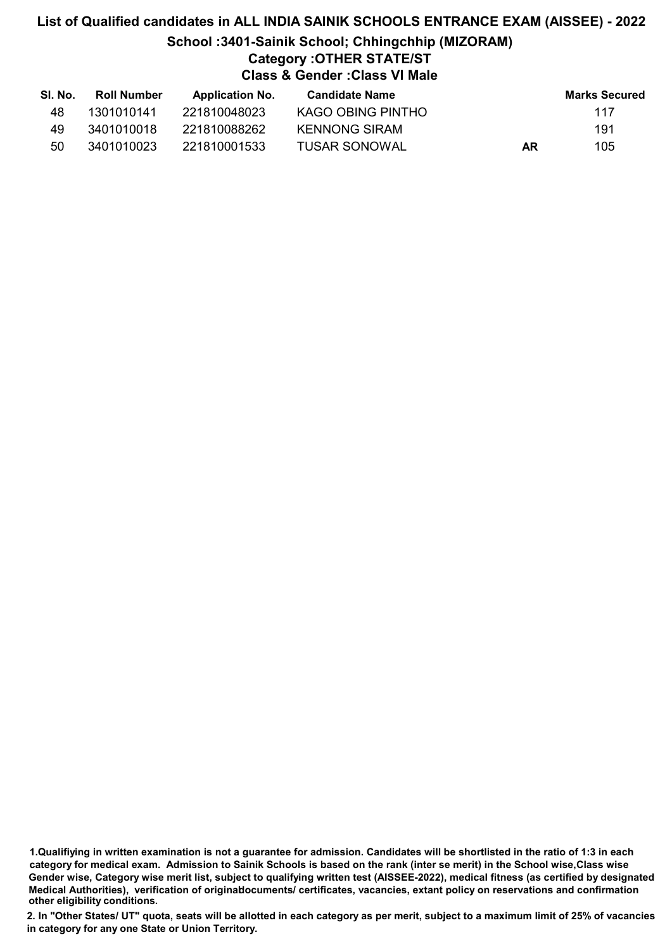## List of Qualified candidates in ALL INDIA SAINIK SCHOOLS ENTRANCE EXAM (AISSEE) - 2022 School :3401-Sainik School; Chhingchhip (MIZORAM) Category :OTHER STATE/ST Class & Gender :Class VI Male

| SI. No. | Roll Number | <b>Application No.</b> | Candidate Name    |    | Marks Secured |
|---------|-------------|------------------------|-------------------|----|---------------|
| 48      | 1301010141  | 221810048023           | KAGO OBING PINTHO |    | 117           |
| 49      | 3401010018  | 221810088262           | KENNONG SIRAM     |    | 191           |
| 50      | 3401010023  | 221810001533           | TUSAR SONOWAL     | AR | 105           |

1.Qualifiying in written examination is not a guarantee for admission. Candidates will be shortlisted in the ratio of 1:3 in each category for medical exam. Admission to Sainik Schools is based on the rank (inter se merit) in the School wise,Class wise Gender wise, Category wise merit list, subject to qualifying written test (AISSEE-2022), medical fitness (as certified by designated Medical Authorities), verification of originablocuments/ certificates, vacancies, extant policy on reservations and confirmation other eligibility conditions.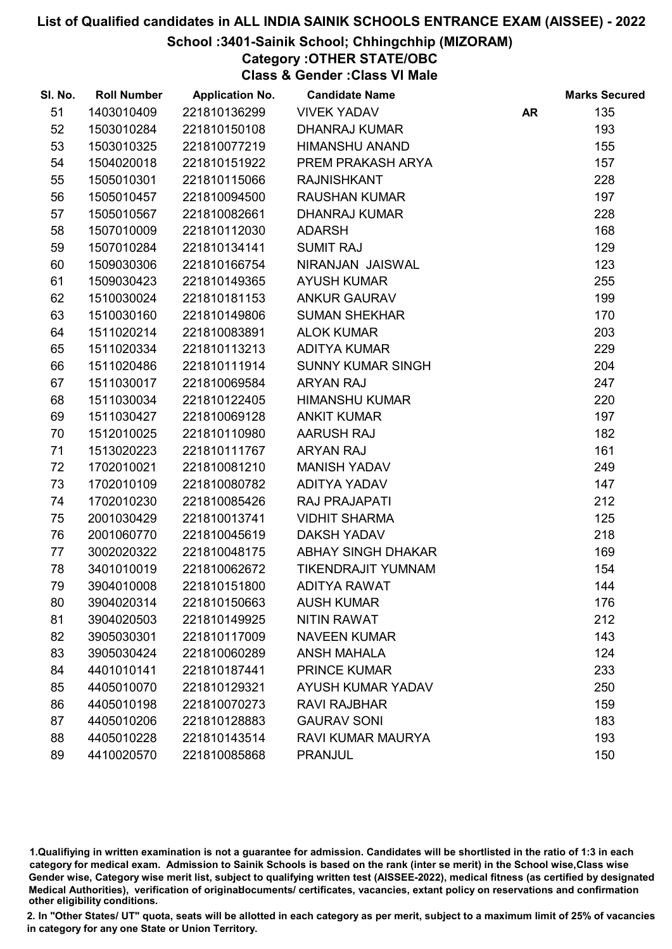#### School :3401-Sainik School; Chhingchhip (MIZORAM)

### Category :OTHER STATE/OBC

Class & Gender :Class VI Male

| SI. No. | <b>Roll Number</b> | <b>Application No.</b> | <b>Candidate Name</b>    |           | <b>Marks Secured</b> |
|---------|--------------------|------------------------|--------------------------|-----------|----------------------|
| 51      | 1403010409         | 221810136299           | <b>VIVEK YADAV</b>       | <b>AR</b> | 135                  |
| 52      | 1503010284         | 221810150108           | <b>DHANRAJ KUMAR</b>     |           | 193                  |
| 53      | 1503010325         | 221810077219           | <b>HIMANSHU ANAND</b>    |           | 155                  |
| 54      | 1504020018         | 221810151922           | PREM PRAKASH ARYA        |           | 157                  |
| 55      | 1505010301         | 221810115066           | <b>RAJNISHKANT</b>       |           | 228                  |
| 56      | 1505010457         | 221810094500           | <b>RAUSHAN KUMAR</b>     |           | 197                  |
| 57      | 1505010567         | 221810082661           | <b>DHANRAJ KUMAR</b>     |           | 228                  |
| 58      | 1507010009         | 221810112030           | <b>ADARSH</b>            |           | 168                  |
| 59      | 1507010284         | 221810134141           | <b>SUMIT RAJ</b>         |           | 129                  |
| 60      | 1509030306         | 221810166754           | NIRANJAN JAISWAL         |           | 123                  |
| 61      | 1509030423         | 221810149365           | <b>AYUSH KUMAR</b>       |           | 255                  |
| 62      | 1510030024         | 221810181153           | <b>ANKUR GAURAV</b>      |           | 199                  |
| 63      | 1510030160         | 221810149806           | <b>SUMAN SHEKHAR</b>     |           | 170                  |
| 64      | 1511020214         | 221810083891           | <b>ALOK KUMAR</b>        |           | 203                  |
| 65      | 1511020334         | 221810113213           | <b>ADITYA KUMAR</b>      |           | 229                  |
| 66      | 1511020486         | 221810111914           | <b>SUNNY KUMAR SINGH</b> |           | 204                  |
| 67      | 1511030017         | 221810069584           | <b>ARYAN RAJ</b>         |           | 247                  |
| 68      | 1511030034         | 221810122405           | <b>HIMANSHU KUMAR</b>    |           | 220                  |
| 69      | 1511030427         | 221810069128           | <b>ANKIT KUMAR</b>       |           | 197                  |
| 70      | 1512010025         | 221810110980           | AARUSH RAJ               |           | 182                  |
| 71      | 1513020223         | 221810111767           | <b>ARYAN RAJ</b>         |           | 161                  |
| 72      | 1702010021         | 221810081210           | <b>MANISH YADAV</b>      |           | 249                  |
| 73      | 1702010109         | 221810080782           | ADITYA YADAV             |           | 147                  |
| 74      | 1702010230         | 221810085426           | <b>RAJ PRAJAPATI</b>     |           | 212                  |
| 75      | 2001030429         | 221810013741           | <b>VIDHIT SHARMA</b>     |           | 125                  |
| 76      | 2001060770         | 221810045619           | <b>DAKSH YADAV</b>       |           | 218                  |
| 77      | 3002020322         | 221810048175           | ABHAY SINGH DHAKAR       |           | 169                  |
| 78      | 3401010019         | 221810062672           | TIKENDRAJIT YUMNAM       |           | 154                  |
| 79      | 3904010008         | 221810151800           | <b>ADITYA RAWAT</b>      |           | 144                  |
| 80      | 3904020314         | 221810150663           | <b>AUSH KUMAR</b>        |           | 176                  |
| 81      | 3904020503         | 221810149925           | NITIN RAWAT              |           | 212                  |
| 82      | 3905030301         | 221810117009           | <b>NAVEEN KUMAR</b>      |           | 143                  |
| 83      | 3905030424         | 221810060289           | <b>ANSH MAHALA</b>       |           | 124                  |
| 84      | 4401010141         | 221810187441           | <b>PRINCE KUMAR</b>      |           | 233                  |
| 85      | 4405010070         | 221810129321           | <b>AYUSH KUMAR YADAV</b> |           | 250                  |
| 86      | 4405010198         | 221810070273           | <b>RAVI RAJBHAR</b>      |           | 159                  |
| 87      | 4405010206         | 221810128883           | <b>GAURAV SONI</b>       |           | 183                  |
| 88      | 4405010228         | 221810143514           | <b>RAVI KUMAR MAURYA</b> |           | 193                  |
| 89      | 4410020570         | 221810085868           | <b>PRANJUL</b>           |           | 150                  |

1.Qualifiying in written examination is not a guarantee for admission. Candidates will be shortlisted in the ratio of 1:3 in each category for medical exam. Admission to Sainik Schools is based on the rank (inter se merit) in the School wise,Class wise Gender wise, Category wise merit list, subject to qualifying written test (AISSEE-2022), medical fitness (as certified by designated Medical Authorities), verification of originablocuments/ certificates, vacancies, extant policy on reservations and confirmation other eligibility conditions.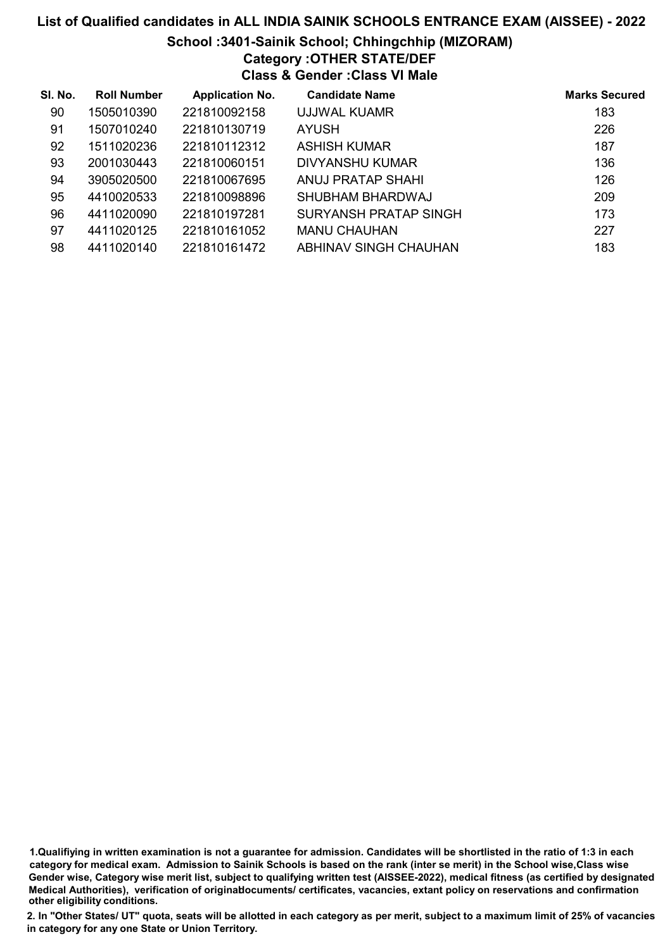## List of Qualified candidates in ALL INDIA SAINIK SCHOOLS ENTRANCE EXAM (AISSEE) - 2022 School :3401-Sainik School; Chhingchhip (MIZORAM) Category :OTHER STATE/DEF Class & Gender :Class VI Male

| SI. No. | <b>Roll Number</b> | <b>Application No.</b> | <b>Candidate Name</b> | <b>Marks Secured</b> |
|---------|--------------------|------------------------|-----------------------|----------------------|
| 90      | 1505010390         | 221810092158           | UJJWAL KUAMR          | 183                  |
| 91      | 1507010240         | 221810130719           | <b>AYUSH</b>          | 226                  |
| 92      | 1511020236         | 221810112312           | ASHISH KUMAR          | 187                  |
| 93      | 2001030443         | 221810060151           | DIVYANSHU KUMAR       | 136                  |
| 94      | 3905020500         | 221810067695           | ANUJ PRATAP SHAHI     | 126                  |
| 95      | 4410020533         | 221810098896           | SHUBHAM BHARDWAJ      | 209                  |
| 96      | 4411020090         | 221810197281           | SURYANSH PRATAP SINGH | 173                  |
| 97      | 4411020125         | 221810161052           | <b>MANU CHAUHAN</b>   | 227                  |
| 98      | 4411020140         | 221810161472           | ABHINAV SINGH CHAUHAN | 183                  |

<sup>1.</sup>Qualifiying in written examination is not a guarantee for admission. Candidates will be shortlisted in the ratio of 1:3 in each category for medical exam. Admission to Sainik Schools is based on the rank (inter se merit) in the School wise,Class wise Gender wise, Category wise merit list, subject to qualifying written test (AISSEE-2022), medical fitness (as certified by designated Medical Authorities), verification of originablocuments/ certificates, vacancies, extant policy on reservations and confirmation other eligibility conditions.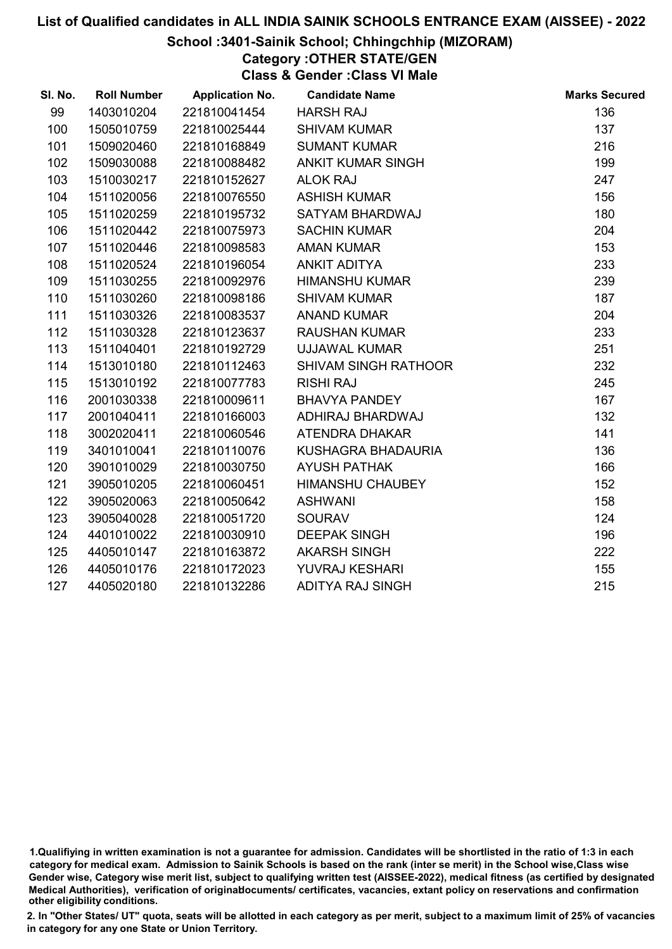#### School :3401-Sainik School; Chhingchhip (MIZORAM)

## Category :OTHER STATE/GEN

Class & Gender :Class VI Male

| SI. No. | <b>Roll Number</b> | <b>Application No.</b> | <b>Candidate Name</b>       | <b>Marks Secured</b> |
|---------|--------------------|------------------------|-----------------------------|----------------------|
| 99      | 1403010204         | 221810041454           | <b>HARSH RAJ</b>            | 136                  |
| 100     | 1505010759         | 221810025444           | <b>SHIVAM KUMAR</b>         | 137                  |
| 101     | 1509020460         | 221810168849           | <b>SUMANT KUMAR</b>         | 216                  |
| 102     | 1509030088         | 221810088482           | <b>ANKIT KUMAR SINGH</b>    | 199                  |
| 103     | 1510030217         | 221810152627           | <b>ALOK RAJ</b>             | 247                  |
| 104     | 1511020056         | 221810076550           | <b>ASHISH KUMAR</b>         | 156                  |
| 105     | 1511020259         | 221810195732           | <b>SATYAM BHARDWAJ</b>      | 180                  |
| 106     | 1511020442         | 221810075973           | <b>SACHIN KUMAR</b>         | 204                  |
| 107     | 1511020446         | 221810098583           | <b>AMAN KUMAR</b>           | 153                  |
| 108     | 1511020524         | 221810196054           | <b>ANKIT ADITYA</b>         | 233                  |
| 109     | 1511030255         | 221810092976           | <b>HIMANSHU KUMAR</b>       | 239                  |
| 110     | 1511030260         | 221810098186           | <b>SHIVAM KUMAR</b>         | 187                  |
| 111     | 1511030326         | 221810083537           | <b>ANAND KUMAR</b>          | 204                  |
| 112     | 1511030328         | 221810123637           | <b>RAUSHAN KUMAR</b>        | 233                  |
| 113     | 1511040401         | 221810192729           | <b>UJJAWAL KUMAR</b>        | 251                  |
| 114     | 1513010180         | 221810112463           | <b>SHIVAM SINGH RATHOOR</b> | 232                  |
| 115     | 1513010192         | 221810077783           | <b>RISHI RAJ</b>            | 245                  |
| 116     | 2001030338         | 221810009611           | <b>BHAVYA PANDEY</b>        | 167                  |
| 117     | 2001040411         | 221810166003           | ADHIRAJ BHARDWAJ            | 132                  |
| 118     | 3002020411         | 221810060546           | <b>ATENDRA DHAKAR</b>       | 141                  |
| 119     | 3401010041         | 221810110076           | KUSHAGRA BHADAURIA          | 136                  |
| 120     | 3901010029         | 221810030750           | <b>AYUSH PATHAK</b>         | 166                  |
| 121     | 3905010205         | 221810060451           | <b>HIMANSHU CHAUBEY</b>     | 152                  |
| 122     | 3905020063         | 221810050642           | <b>ASHWANI</b>              | 158                  |
| 123     | 3905040028         | 221810051720           | <b>SOURAV</b>               | 124                  |
| 124     | 4401010022         | 221810030910           | <b>DEEPAK SINGH</b>         | 196                  |
| 125     | 4405010147         | 221810163872           | <b>AKARSH SINGH</b>         | 222                  |
| 126     | 4405010176         | 221810172023           | YUVRAJ KESHARI              | 155                  |
| 127     | 4405020180         | 221810132286           | <b>ADITYA RAJ SINGH</b>     | 215                  |

<sup>1.</sup>Qualifiying in written examination is not a guarantee for admission. Candidates will be shortlisted in the ratio of 1:3 in each category for medical exam. Admission to Sainik Schools is based on the rank (inter se merit) in the School wise,Class wise Gender wise, Category wise merit list, subject to qualifying written test (AISSEE-2022), medical fitness (as certified by designated Medical Authorities), verification of originablocuments/ certificates, vacancies, extant policy on reservations and confirmation other eligibility conditions.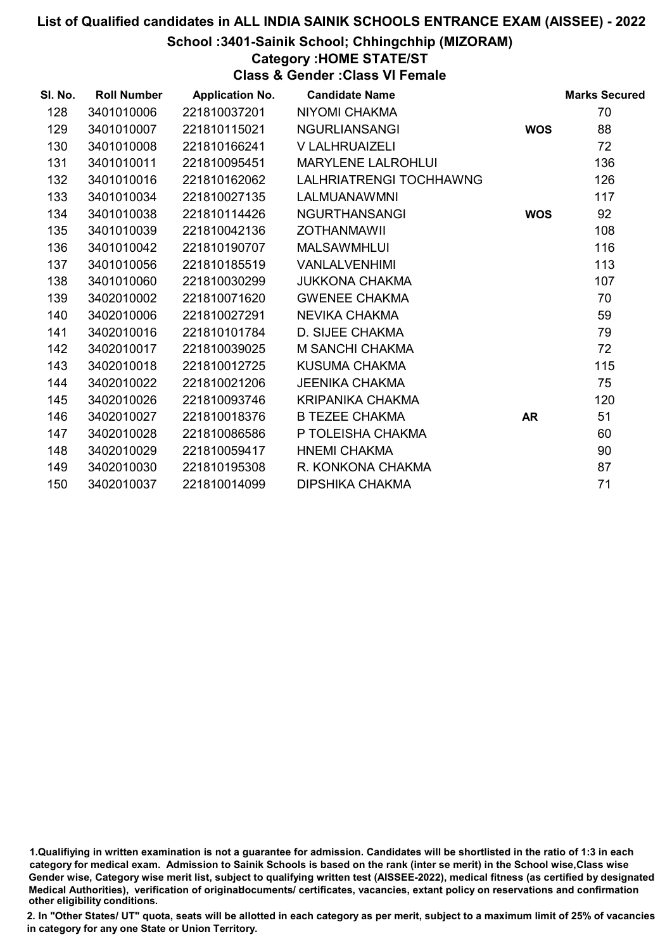### School :3401-Sainik School; Chhingchhip (MIZORAM)

#### Category :HOME STATE/ST

Class & Gender :Class VI Female

| SI. No. | <b>Roll Number</b> | <b>Application No.</b> | <b>Candidate Name</b>     |            | <b>Marks Secured</b> |
|---------|--------------------|------------------------|---------------------------|------------|----------------------|
| 128     | 3401010006         | 221810037201           | <b>NIYOMI CHAKMA</b>      |            | 70                   |
| 129     | 3401010007         | 221810115021           | <b>NGURLIANSANGI</b>      | <b>WOS</b> | 88                   |
| 130     | 3401010008         | 221810166241           | V LALHRUAIZELI            |            | 72                   |
| 131     | 3401010011         | 221810095451           | <b>MARYLENE LALROHLUI</b> |            | 136                  |
| 132     | 3401010016         | 221810162062           | LALHRIATRENGI TOCHHAWNG   |            | 126                  |
| 133     | 3401010034         | 221810027135           | <b>LALMUANAWMNI</b>       |            | 117                  |
| 134     | 3401010038         | 221810114426           | <b>NGURTHANSANGI</b>      | <b>WOS</b> | 92                   |
| 135     | 3401010039         | 221810042136           | <b>ZOTHANMAWII</b>        |            | 108                  |
| 136     | 3401010042         | 221810190707           | <b>MALSAWMHLUI</b>        |            | 116                  |
| 137     | 3401010056         | 221810185519           | <b>VANLALVENHIMI</b>      |            | 113                  |
| 138     | 3401010060         | 221810030299           | <b>JUKKONA CHAKMA</b>     |            | 107                  |
| 139     | 3402010002         | 221810071620           | <b>GWENEE CHAKMA</b>      |            | 70                   |
| 140     | 3402010006         | 221810027291           | NEVIKA CHAKMA             |            | 59                   |
| 141     | 3402010016         | 221810101784           | D. SIJEE CHAKMA           |            | 79                   |
| 142     | 3402010017         | 221810039025           | M SANCHI CHAKMA           |            | 72                   |
| 143     | 3402010018         | 221810012725           | <b>KUSUMA CHAKMA</b>      |            | 115                  |
| 144     | 3402010022         | 221810021206           | <b>JEENIKA CHAKMA</b>     |            | 75                   |
| 145     | 3402010026         | 221810093746           | KRIPANIKA CHAKMA          |            | 120                  |
| 146     | 3402010027         | 221810018376           | <b>B TEZEE CHAKMA</b>     | <b>AR</b>  | 51                   |
| 147     | 3402010028         | 221810086586           | P TOLEISHA CHAKMA         |            | 60                   |
| 148     | 3402010029         | 221810059417           | <b>HNEMI CHAKMA</b>       |            | 90                   |
| 149     | 3402010030         | 221810195308           | R. KONKONA CHAKMA         |            | 87                   |
| 150     | 3402010037         | 221810014099           | <b>DIPSHIKA CHAKMA</b>    |            | 71                   |

<sup>1.</sup>Qualifiying in written examination is not a guarantee for admission. Candidates will be shortlisted in the ratio of 1:3 in each category for medical exam. Admission to Sainik Schools is based on the rank (inter se merit) in the School wise,Class wise Gender wise, Category wise merit list, subject to qualifying written test (AISSEE-2022), medical fitness (as certified by designated Medical Authorities), verification of originablocuments/ certificates, vacancies, extant policy on reservations and confirmation other eligibility conditions.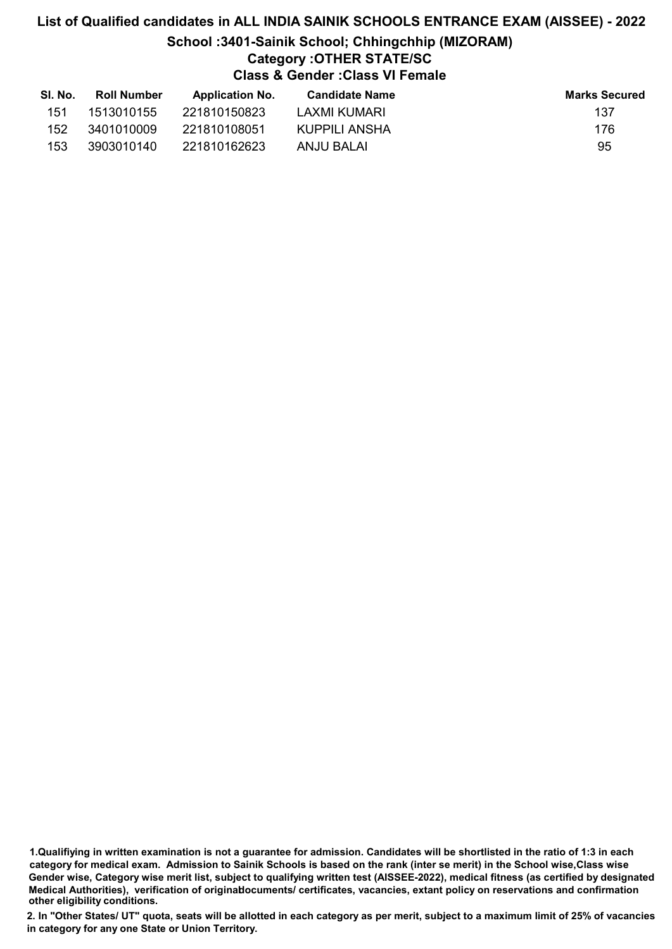### List of Qualified candidates in ALL INDIA SAINIK SCHOOLS ENTRANCE EXAM (AISSEE) - 2022 School :3401-Sainik School; Chhingchhip (MIZORAM) Category :OTHER STATE/SC Class & Gender :Class VI Female

| SI. No. | <b>Roll Number</b> | <b>Application No.</b> | <b>Candidate Name</b> | <b>Marks Secured</b> |
|---------|--------------------|------------------------|-----------------------|----------------------|
| 151     | 1513010155         | 221810150823           | LAXMI KUMARI          | 137                  |
| 152     | 3401010009         | 221810108051           | KUPPILI ANSHA         | 176                  |
| 153     | 3903010140         | 221810162623           | ANJU BALAI            | 95                   |

1.Qualifiying in written examination is not a guarantee for admission. Candidates will be shortlisted in the ratio of 1:3 in each category for medical exam. Admission to Sainik Schools is based on the rank (inter se merit) in the School wise,Class wise Gender wise, Category wise merit list, subject to qualifying written test (AISSEE-2022), medical fitness (as certified by designated Medical Authorities), verification of originablocuments/ certificates, vacancies, extant policy on reservations and confirmation other eligibility conditions.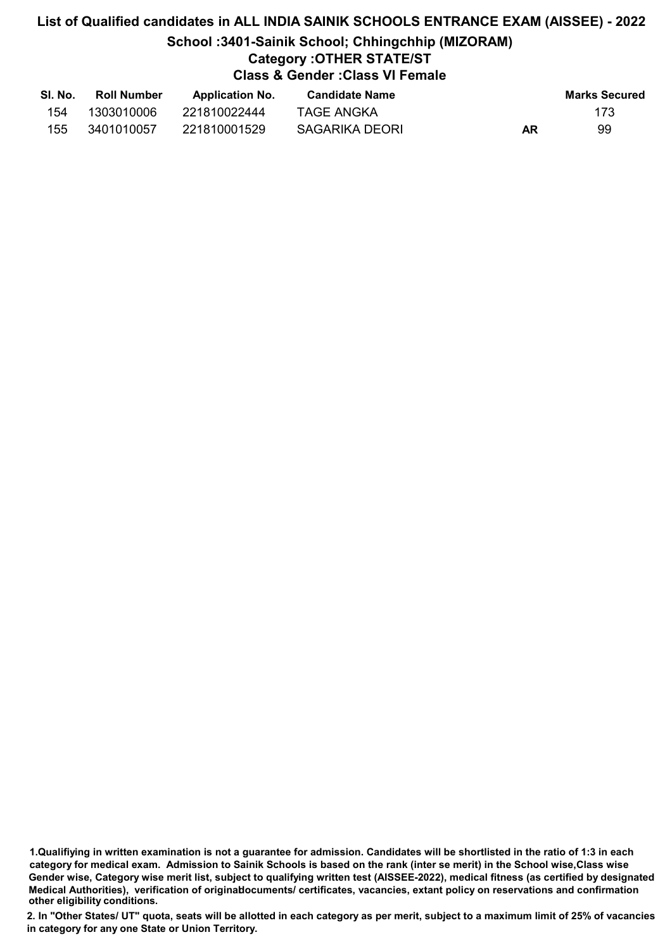## List of Qualified candidates in ALL INDIA SAINIK SCHOOLS ENTRANCE EXAM (AISSEE) - 2022 School :3401-Sainik School; Chhingchhip (MIZORAM) Category :OTHER STATE/ST Class & Gender :Class VI Female

| -SI. No. | <b>Roll Number</b> | <b>Application No.</b> | <b>Candidate Name</b> |    | <b>Marks Secured</b> |
|----------|--------------------|------------------------|-----------------------|----|----------------------|
| 154      | 1303010006         | 221810022444           | TAGE ANGKA            |    | 173                  |
| 155      | 3401010057         | 221810001529           | SAGARIKA DEORI        | AR | 99                   |

<sup>1.</sup>Qualifiying in written examination is not a guarantee for admission. Candidates will be shortlisted in the ratio of 1:3 in each category for medical exam. Admission to Sainik Schools is based on the rank (inter se merit) in the School wise,Class wise Gender wise, Category wise merit list, subject to qualifying written test (AISSEE-2022), medical fitness (as certified by designated Medical Authorities), verification of originablocuments/ certificates, vacancies, extant policy on reservations and confirmation other eligibility conditions.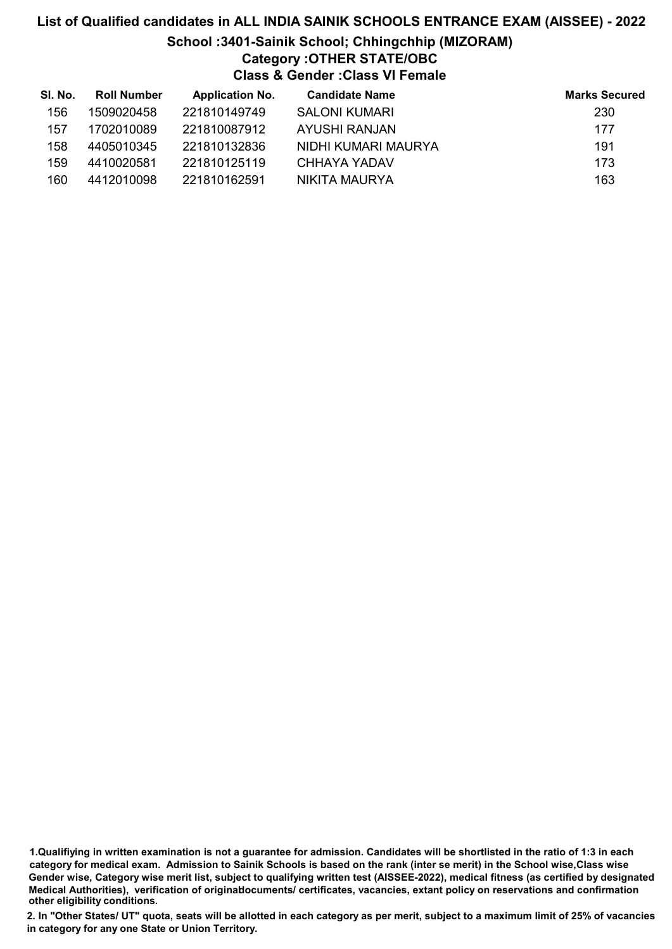### List of Qualified candidates in ALL INDIA SAINIK SCHOOLS ENTRANCE EXAM (AISSEE) - 2022 School :3401-Sainik School; Chhingchhip (MIZORAM) Category :OTHER STATE/OBC Class & Gender :Class VI Female

| SI. No. | Roll Number | <b>Application No.</b> | <b>Candidate Name</b> | <b>Marks Secured</b> |
|---------|-------------|------------------------|-----------------------|----------------------|
| 156     | 1509020458  | 221810149749           | <b>SALONI KUMARI</b>  | 230                  |
| 157     | 1702010089  | 221810087912           | AYUSHI RANJAN         | 177                  |
| 158     | 4405010345  | 221810132836           | NIDHI KUMARI MAURYA   | 191                  |
| 159     | 4410020581  | 221810125119           | CHHAYA YADAV          | 173                  |
| 160     | 4412010098  | 221810162591           | NIKITA MAURYA         | 163                  |

<sup>1.</sup>Qualifiying in written examination is not a guarantee for admission. Candidates will be shortlisted in the ratio of 1:3 in each category for medical exam. Admission to Sainik Schools is based on the rank (inter se merit) in the School wise,Class wise Gender wise, Category wise merit list, subject to qualifying written test (AISSEE-2022), medical fitness (as certified by designated Medical Authorities), verification of originablocuments/ certificates, vacancies, extant policy on reservations and confirmation other eligibility conditions.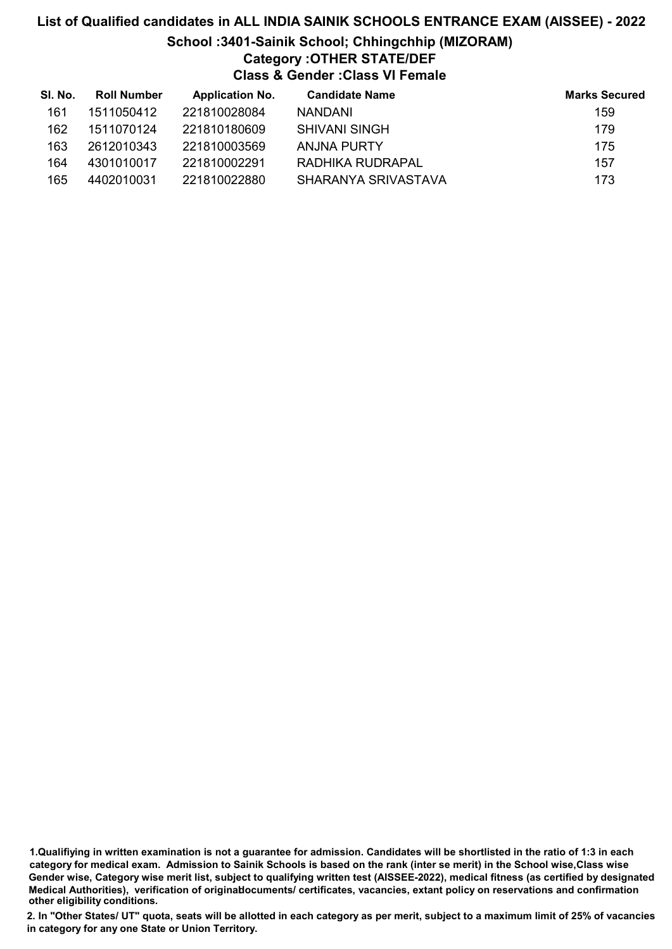### List of Qualified candidates in ALL INDIA SAINIK SCHOOLS ENTRANCE EXAM (AISSEE) - 2022 School :3401-Sainik School; Chhingchhip (MIZORAM) Category :OTHER STATE/DEF Class & Gender :Class VI Female

| SI. No. | <b>Roll Number</b> | <b>Application No.</b> | <b>Candidate Name</b> | <b>Marks Secured</b> |
|---------|--------------------|------------------------|-----------------------|----------------------|
| 161     | 1511050412         | 221810028084           | <b>NANDANI</b>        | 159                  |
| 162     | 1511070124         | 221810180609           | <b>SHIVANI SINGH</b>  | 179                  |
| 163     | 2612010343         | 221810003569           | ANJNA PURTY           | 175                  |
| 164     | 4301010017         | 221810002291           | RADHIKA RUDRAPAL      | 157                  |
| 165     | 4402010031         | 221810022880           | SHARANYA SRIVASTAVA   | 173                  |

<sup>1.</sup>Qualifiying in written examination is not a guarantee for admission. Candidates will be shortlisted in the ratio of 1:3 in each category for medical exam. Admission to Sainik Schools is based on the rank (inter se merit) in the School wise,Class wise Gender wise, Category wise merit list, subject to qualifying written test (AISSEE-2022), medical fitness (as certified by designated Medical Authorities), verification of originablocuments/ certificates, vacancies, extant policy on reservations and confirmation other eligibility conditions.